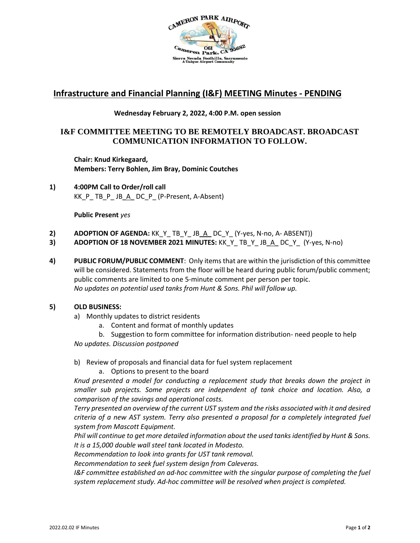

# **Infrastructure and Financial Planning (I&F) MEETING Minutes - PENDING**

# **Wednesday February 2, 2022, 4:00 P.M. open session**

# **I&F COMMITTEE MEETING TO BE REMOTELY BROADCAST. BROADCAST COMMUNICATION INFORMATION TO FOLLOW.**

**Chair: Knud Kirkegaard, Members: Terry Bohlen, Jim Bray, Dominic Coutches**

**1) 4:00PM Call to Order/roll call** KK\_P\_ TB\_P\_ JB\_A\_ DC\_P\_ (P-Present, A-Absent)

**Public Present** *yes*

- **2) ADOPTION OF AGENDA:** KK\_Y\_ TB\_Y\_ JB\_A\_ DC\_Y\_ (Y-yes, N-no, A- ABSENT))
- **3) ADOPTION OF 18 NOVEMBER 2021 MINUTES:** KK\_Y\_ TB\_Y\_ JB\_A\_ DC\_Y\_ (Y-yes, N-no)
- **4) PUBLIC FORUM/PUBLIC COMMENT**: Only items that are within the jurisdiction of this committee will be considered. Statements from the floor will be heard during public forum/public comment; public comments are limited to one 5-minute comment per person per topic. *No updates on potential used tanks from Hunt & Sons. Phil will follow up.*

## **5) OLD BUSINESS:**

- a) Monthly updates to district residents
	- a. Content and format of monthly updates

b. Suggestion to form committee for information distribution- need people to help *No updates. Discussion postponed*

- b) Review of proposals and financial data for fuel system replacement
	- a. Options to present to the board

*Knud presented a model for conducting a replacement study that breaks down the project in smaller sub projects. Some projects are independent of tank choice and location. Also, a comparison of the savings and operational costs.* 

*Terry presented an overview of the current UST system and the risks associated with it and desired criteria of a new AST system. Terry also presented a proposal for a completely integrated fuel system from Mascott Equipment.*

*Phil will continue to get more detailed information about the used tanks identified by Hunt & Sons. It is a 15,000 double wall steel tank located in Modesto.* 

*Recommendation to look into grants for UST tank removal.* 

*Recommendation to seek fuel system design from Caleveras.*

*I&F committee established an ad-hoc committee with the singular purpose of completing the fuel system replacement study. Ad-hoc committee will be resolved when project is completed.*